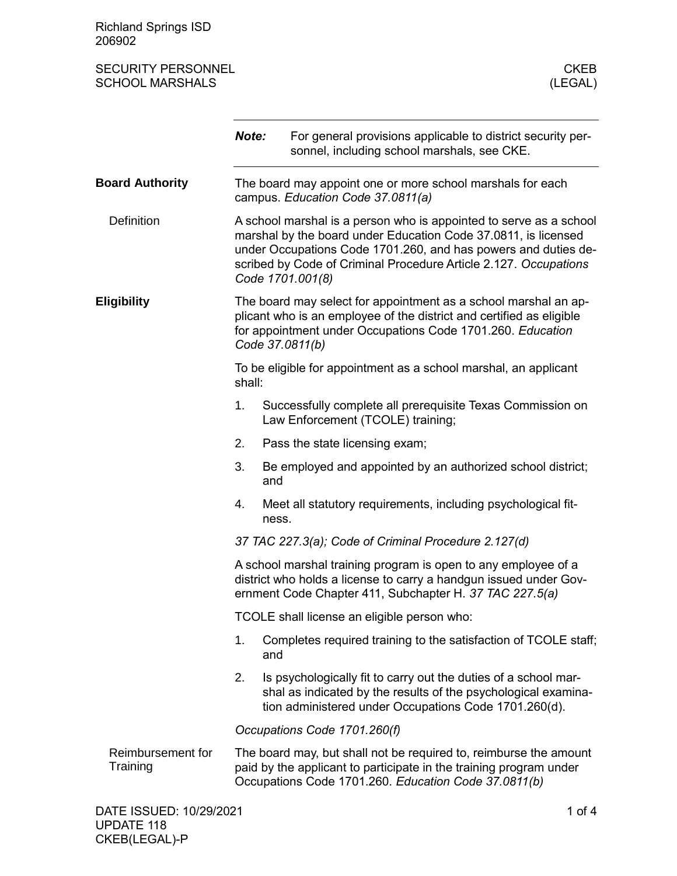Richland Springs ISD 206902

| <b>SECURITY PERSONNEL</b><br><b>SCHOOL MARSHALS</b> |                                                                                                                                                                                                                                                                                                | <b>CKEB</b><br>(LEGAL)                                                                                                                                                                     |  |  |  |
|-----------------------------------------------------|------------------------------------------------------------------------------------------------------------------------------------------------------------------------------------------------------------------------------------------------------------------------------------------------|--------------------------------------------------------------------------------------------------------------------------------------------------------------------------------------------|--|--|--|
|                                                     | Note:                                                                                                                                                                                                                                                                                          | For general provisions applicable to district security per-<br>sonnel, including school marshals, see CKE.                                                                                 |  |  |  |
| <b>Board Authority</b>                              | The board may appoint one or more school marshals for each<br>campus. Education Code 37.0811(a)                                                                                                                                                                                                |                                                                                                                                                                                            |  |  |  |
| <b>Definition</b>                                   | A school marshal is a person who is appointed to serve as a school<br>marshal by the board under Education Code 37.0811, is licensed<br>under Occupations Code 1701.260, and has powers and duties de-<br>scribed by Code of Criminal Procedure Article 2.127. Occupations<br>Code 1701.001(8) |                                                                                                                                                                                            |  |  |  |
| <b>Eligibility</b>                                  | The board may select for appointment as a school marshal an ap-<br>plicant who is an employee of the district and certified as eligible<br>for appointment under Occupations Code 1701.260. Education<br>Code 37.0811(b)                                                                       |                                                                                                                                                                                            |  |  |  |
|                                                     | To be eligible for appointment as a school marshal, an applicant<br>shall:                                                                                                                                                                                                                     |                                                                                                                                                                                            |  |  |  |
|                                                     | 1.                                                                                                                                                                                                                                                                                             | Successfully complete all prerequisite Texas Commission on<br>Law Enforcement (TCOLE) training;                                                                                            |  |  |  |
|                                                     | 2.                                                                                                                                                                                                                                                                                             | Pass the state licensing exam;                                                                                                                                                             |  |  |  |
|                                                     | 3.                                                                                                                                                                                                                                                                                             | Be employed and appointed by an authorized school district;<br>and                                                                                                                         |  |  |  |
|                                                     | 4.                                                                                                                                                                                                                                                                                             | Meet all statutory requirements, including psychological fit-<br>ness.                                                                                                                     |  |  |  |
|                                                     |                                                                                                                                                                                                                                                                                                | 37 TAC 227.3(a); Code of Criminal Procedure 2.127(d)                                                                                                                                       |  |  |  |
|                                                     | A school marshal training program is open to any employee of a<br>district who holds a license to carry a handgun issued under Gov-<br>ernment Code Chapter 411, Subchapter H. 37 TAC 227.5(a)                                                                                                 |                                                                                                                                                                                            |  |  |  |
|                                                     |                                                                                                                                                                                                                                                                                                | TCOLE shall license an eligible person who:                                                                                                                                                |  |  |  |
|                                                     | 1.                                                                                                                                                                                                                                                                                             | Completes required training to the satisfaction of TCOLE staff;<br>and                                                                                                                     |  |  |  |
|                                                     | 2.                                                                                                                                                                                                                                                                                             | Is psychologically fit to carry out the duties of a school mar-<br>shal as indicated by the results of the psychological examina-<br>tion administered under Occupations Code 1701.260(d). |  |  |  |
|                                                     |                                                                                                                                                                                                                                                                                                | Occupations Code 1701.260(f)                                                                                                                                                               |  |  |  |
| Reimbursement for<br>Training                       |                                                                                                                                                                                                                                                                                                | The board may, but shall not be required to, reimburse the amount<br>paid by the applicant to participate in the training program under                                                    |  |  |  |

Occupations Code 1701.260. *Education Code 37.0811(b)*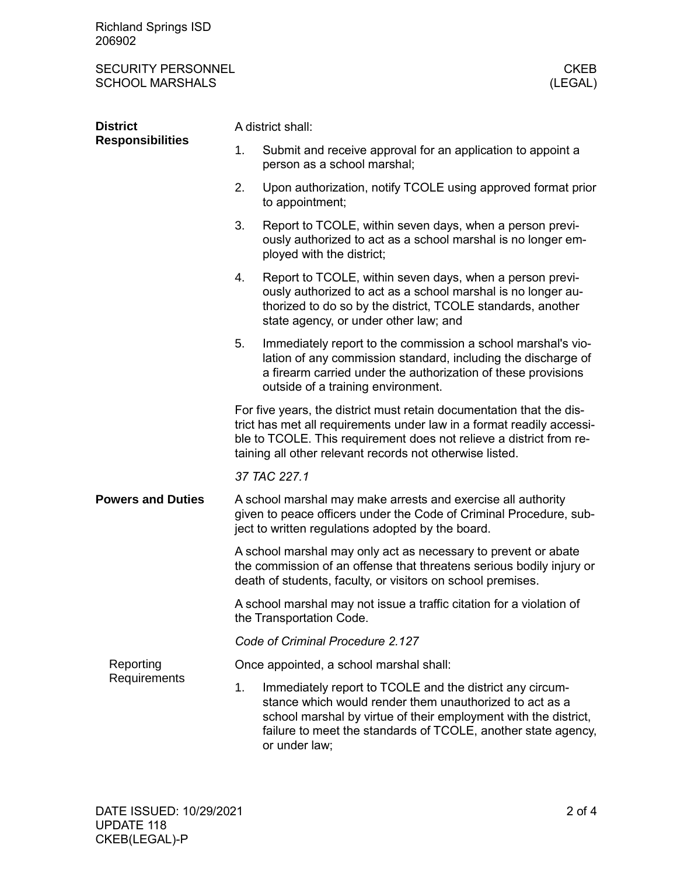Richland Springs ISD 206902

SECURITY PERSONNEL CKEB<br>SCHOOL MARSHALS (LEGAL) SCHOOL MARSHALS

| <b>District</b><br><b>Responsibilities</b> | A district shall:                                                                                                                                                                                                                                                                |                                                                                                                                                                                                                                                                          |  |  |
|--------------------------------------------|----------------------------------------------------------------------------------------------------------------------------------------------------------------------------------------------------------------------------------------------------------------------------------|--------------------------------------------------------------------------------------------------------------------------------------------------------------------------------------------------------------------------------------------------------------------------|--|--|
|                                            | 1.                                                                                                                                                                                                                                                                               | Submit and receive approval for an application to appoint a<br>person as a school marshal;                                                                                                                                                                               |  |  |
|                                            | 2.                                                                                                                                                                                                                                                                               | Upon authorization, notify TCOLE using approved format prior<br>to appointment;                                                                                                                                                                                          |  |  |
|                                            | 3.                                                                                                                                                                                                                                                                               | Report to TCOLE, within seven days, when a person previ-<br>ously authorized to act as a school marshal is no longer em-<br>ployed with the district;                                                                                                                    |  |  |
|                                            | 4.                                                                                                                                                                                                                                                                               | Report to TCOLE, within seven days, when a person previ-<br>ously authorized to act as a school marshal is no longer au-<br>thorized to do so by the district, TCOLE standards, another<br>state agency, or under other law; and                                         |  |  |
|                                            | 5.                                                                                                                                                                                                                                                                               | Immediately report to the commission a school marshal's vio-<br>lation of any commission standard, including the discharge of<br>a firearm carried under the authorization of these provisions<br>outside of a training environment.                                     |  |  |
|                                            | For five years, the district must retain documentation that the dis-<br>trict has met all requirements under law in a format readily accessi-<br>ble to TCOLE. This requirement does not relieve a district from re-<br>taining all other relevant records not otherwise listed. |                                                                                                                                                                                                                                                                          |  |  |
|                                            | 37 TAC 227.1                                                                                                                                                                                                                                                                     |                                                                                                                                                                                                                                                                          |  |  |
| <b>Powers and Duties</b>                   | A school marshal may make arrests and exercise all authority<br>given to peace officers under the Code of Criminal Procedure, sub-<br>ject to written regulations adopted by the board.                                                                                          |                                                                                                                                                                                                                                                                          |  |  |
|                                            | A school marshal may only act as necessary to prevent or abate<br>the commission of an offense that threatens serious bodily injury or<br>death of students, faculty, or visitors on school premises.                                                                            |                                                                                                                                                                                                                                                                          |  |  |
|                                            | A school marshal may not issue a traffic citation for a violation of<br>the Transportation Code.                                                                                                                                                                                 |                                                                                                                                                                                                                                                                          |  |  |
|                                            | Code of Criminal Procedure 2.127                                                                                                                                                                                                                                                 |                                                                                                                                                                                                                                                                          |  |  |
| Reporting<br>Requirements                  | Once appointed, a school marshal shall:                                                                                                                                                                                                                                          |                                                                                                                                                                                                                                                                          |  |  |
|                                            | 1.                                                                                                                                                                                                                                                                               | Immediately report to TCOLE and the district any circum-<br>stance which would render them unauthorized to act as a<br>school marshal by virtue of their employment with the district,<br>failure to meet the standards of TCOLE, another state agency,<br>or under law; |  |  |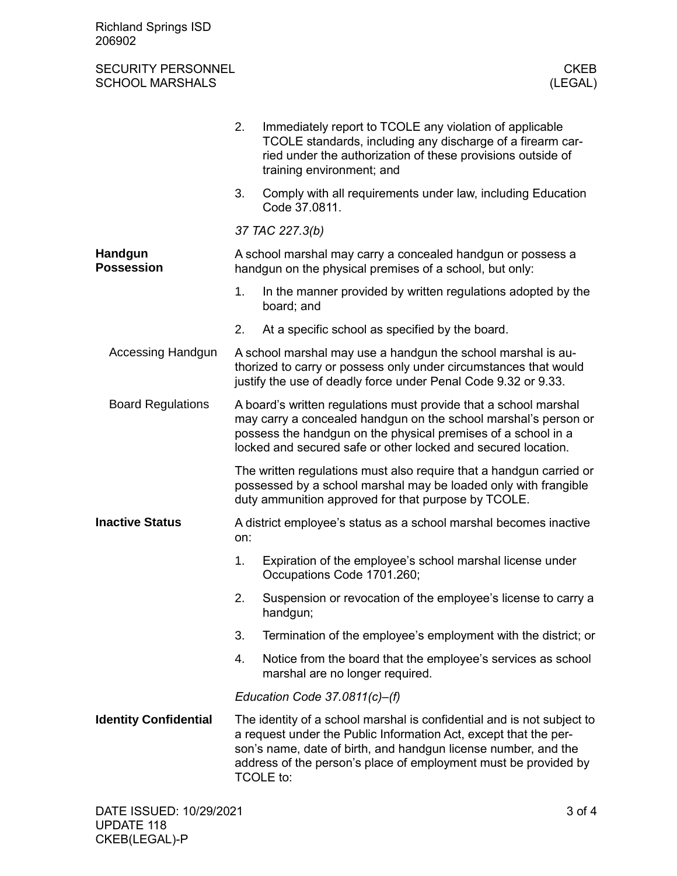| <b>Richland Springs ISD</b><br>206902               |                                                                                                                                                                                                    |                                                                                                                                                                                                                                                                                              |  |  |
|-----------------------------------------------------|----------------------------------------------------------------------------------------------------------------------------------------------------------------------------------------------------|----------------------------------------------------------------------------------------------------------------------------------------------------------------------------------------------------------------------------------------------------------------------------------------------|--|--|
| <b>SECURITY PERSONNEL</b><br><b>SCHOOL MARSHALS</b> |                                                                                                                                                                                                    | <b>CKEB</b><br>(LEGAL)                                                                                                                                                                                                                                                                       |  |  |
|                                                     | 2.                                                                                                                                                                                                 | Immediately report to TCOLE any violation of applicable<br>TCOLE standards, including any discharge of a firearm car-<br>ried under the authorization of these provisions outside of<br>training environment; and                                                                            |  |  |
|                                                     | 3.                                                                                                                                                                                                 | Comply with all requirements under law, including Education<br>Code 37.0811.                                                                                                                                                                                                                 |  |  |
|                                                     | 37 TAC 227.3(b)                                                                                                                                                                                    |                                                                                                                                                                                                                                                                                              |  |  |
| Handgun<br><b>Possession</b>                        | A school marshal may carry a concealed handgun or possess a<br>handgun on the physical premises of a school, but only:                                                                             |                                                                                                                                                                                                                                                                                              |  |  |
|                                                     | 1.                                                                                                                                                                                                 | In the manner provided by written regulations adopted by the<br>board; and                                                                                                                                                                                                                   |  |  |
|                                                     | 2.                                                                                                                                                                                                 | At a specific school as specified by the board.                                                                                                                                                                                                                                              |  |  |
| Accessing Handgun                                   | A school marshal may use a handgun the school marshal is au-<br>thorized to carry or possess only under circumstances that would<br>justify the use of deadly force under Penal Code 9.32 or 9.33. |                                                                                                                                                                                                                                                                                              |  |  |
| <b>Board Regulations</b>                            |                                                                                                                                                                                                    | A board's written regulations must provide that a school marshal<br>may carry a concealed handgun on the school marshal's person or<br>possess the handgun on the physical premises of a school in a<br>locked and secured safe or other locked and secured location.                        |  |  |
|                                                     |                                                                                                                                                                                                    | The written regulations must also require that a handgun carried or<br>possessed by a school marshal may be loaded only with frangible<br>duty ammunition approved for that purpose by TCOLE.                                                                                                |  |  |
| <b>Inactive Status</b>                              | on:                                                                                                                                                                                                | A district employee's status as a school marshal becomes inactive                                                                                                                                                                                                                            |  |  |
|                                                     | 1.                                                                                                                                                                                                 | Expiration of the employee's school marshal license under<br>Occupations Code 1701.260;                                                                                                                                                                                                      |  |  |
|                                                     | 2.                                                                                                                                                                                                 | Suspension or revocation of the employee's license to carry a<br>handgun;                                                                                                                                                                                                                    |  |  |
|                                                     | 3.                                                                                                                                                                                                 | Termination of the employee's employment with the district; or                                                                                                                                                                                                                               |  |  |
|                                                     | 4.                                                                                                                                                                                                 | Notice from the board that the employee's services as school<br>marshal are no longer required.                                                                                                                                                                                              |  |  |
|                                                     |                                                                                                                                                                                                    | Education Code $37.0811(c)$ –(f)                                                                                                                                                                                                                                                             |  |  |
| <b>Identity Confidential</b>                        |                                                                                                                                                                                                    | The identity of a school marshal is confidential and is not subject to<br>a request under the Public Information Act, except that the per-<br>son's name, date of birth, and handgun license number, and the<br>address of the person's place of employment must be provided by<br>TCOLE to: |  |  |